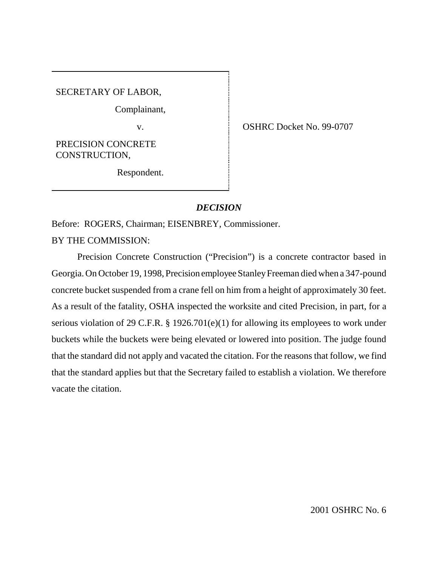SECRETARY OF LABOR,

Complainant,

PRECISION CONCRETE CONSTRUCTION,

Respondent.

v. COSHRC Docket No. 99-0707

# *DECISION*

Before: ROGERS, Chairman; EISENBREY, Commissioner.

BY THE COMMISSION:

Precision Concrete Construction ("Precision") is a concrete contractor based in Georgia. On October 19, 1998, Precision employee Stanley Freeman died when a 347-pound concrete bucket suspended from a crane fell on him from a height of approximately 30 feet. As a result of the fatality, OSHA inspected the worksite and cited Precision, in part, for a serious violation of 29 C.F.R. § 1926.701(e)(1) for allowing its employees to work under buckets while the buckets were being elevated or lowered into position. The judge found that the standard did not apply and vacated the citation. For the reasons that follow, we find that the standard applies but that the Secretary failed to establish a violation. We therefore vacate the citation.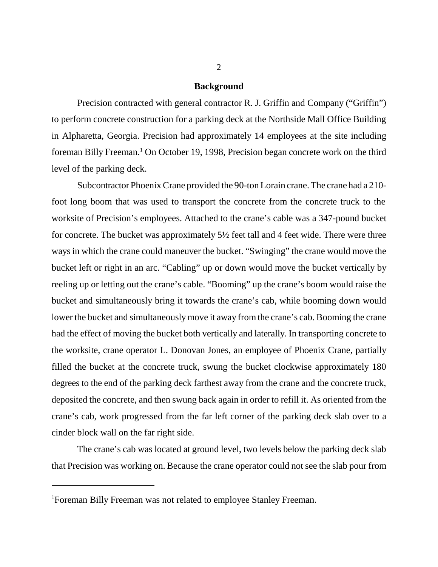#### **Background**

Precision contracted with general contractor R. J. Griffin and Company ("Griffin") to perform concrete construction for a parking deck at the Northside Mall Office Building in Alpharetta, Georgia. Precision had approximately 14 employees at the site including foreman Billy Freeman.<sup>1</sup> On October 19, 1998, Precision began concrete work on the third level of the parking deck.

Subcontractor Phoenix Crane provided the 90-ton Lorain crane. The crane had a 210 foot long boom that was used to transport the concrete from the concrete truck to the worksite of Precision's employees. Attached to the crane's cable was a 347-pound bucket for concrete. The bucket was approximately 5½ feet tall and 4 feet wide. There were three ways in which the crane could maneuver the bucket. "Swinging" the crane would move the bucket left or right in an arc. "Cabling" up or down would move the bucket vertically by reeling up or letting out the crane's cable. "Booming" up the crane's boom would raise the bucket and simultaneously bring it towards the crane's cab, while booming down would lower the bucket and simultaneously move it away from the crane's cab. Booming the crane had the effect of moving the bucket both vertically and laterally. In transporting concrete to the worksite, crane operator L. Donovan Jones, an employee of Phoenix Crane, partially filled the bucket at the concrete truck, swung the bucket clockwise approximately 180 degrees to the end of the parking deck farthest away from the crane and the concrete truck, deposited the concrete, and then swung back again in order to refill it. As oriented from the crane's cab, work progressed from the far left corner of the parking deck slab over to a cinder block wall on the far right side.

The crane's cab was located at ground level, two levels below the parking deck slab that Precision was working on. Because the crane operator could not see the slab pour from

<sup>1</sup> Foreman Billy Freeman was not related to employee Stanley Freeman.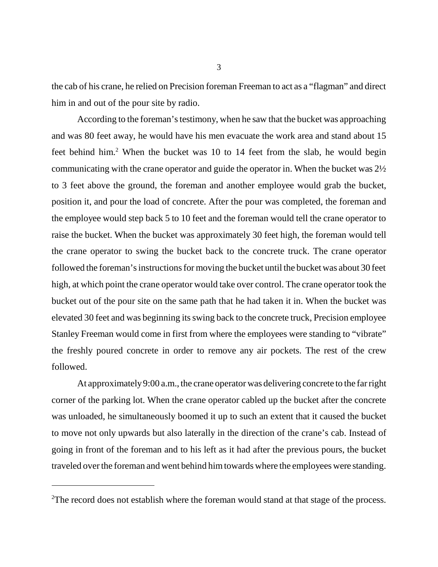the cab of his crane, he relied on Precision foreman Freeman to act as a "flagman" and direct him in and out of the pour site by radio.

According to the foreman's testimony, when he saw that the bucket was approaching and was 80 feet away, he would have his men evacuate the work area and stand about 15 feet behind him.<sup>2</sup> When the bucket was 10 to 14 feet from the slab, he would begin communicating with the crane operator and guide the operator in. When the bucket was 2½ to 3 feet above the ground, the foreman and another employee would grab the bucket, position it, and pour the load of concrete. After the pour was completed, the foreman and the employee would step back 5 to 10 feet and the foreman would tell the crane operator to raise the bucket. When the bucket was approximately 30 feet high, the foreman would tell the crane operator to swing the bucket back to the concrete truck. The crane operator followed the foreman's instructions for moving the bucket until the bucket was about 30 feet high, at which point the crane operator would take over control. The crane operator took the bucket out of the pour site on the same path that he had taken it in. When the bucket was elevated 30 feet and was beginning its swing back to the concrete truck, Precision employee Stanley Freeman would come in first from where the employees were standing to "vibrate" the freshly poured concrete in order to remove any air pockets. The rest of the crew followed.

At approximately 9:00 a.m., the crane operator was delivering concrete to the far right corner of the parking lot. When the crane operator cabled up the bucket after the concrete was unloaded, he simultaneously boomed it up to such an extent that it caused the bucket to move not only upwards but also laterally in the direction of the crane's cab. Instead of going in front of the foreman and to his left as it had after the previous pours, the bucket traveled over the foreman and went behind him towards where the employees were standing.

<sup>&</sup>lt;sup>2</sup>The record does not establish where the foreman would stand at that stage of the process.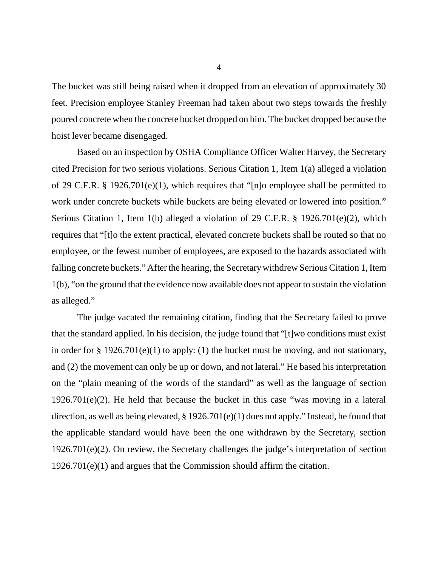The bucket was still being raised when it dropped from an elevation of approximately 30 feet. Precision employee Stanley Freeman had taken about two steps towards the freshly poured concrete when the concrete bucket dropped on him. The bucket dropped because the hoist lever became disengaged.

Based on an inspection by OSHA Compliance Officer Walter Harvey, the Secretary cited Precision for two serious violations. Serious Citation 1, Item 1(a) alleged a violation of 29 C.F.R. § 1926.701(e)(1), which requires that "[n]o employee shall be permitted to work under concrete buckets while buckets are being elevated or lowered into position." Serious Citation 1, Item 1(b) alleged a violation of 29 C.F.R. § 1926.701(e)(2), which requires that "[t]o the extent practical, elevated concrete buckets shall be routed so that no employee, or the fewest number of employees, are exposed to the hazards associated with falling concrete buckets." After the hearing, the Secretary withdrew Serious Citation 1, Item 1(b), "on the ground that the evidence now available does not appear to sustain the violation as alleged."

The judge vacated the remaining citation, finding that the Secretary failed to prove that the standard applied. In his decision, the judge found that "[t]wo conditions must exist in order for § 1926.701(e)(1) to apply: (1) the bucket must be moving, and not stationary, and (2) the movement can only be up or down, and not lateral." He based his interpretation on the "plain meaning of the words of the standard" as well as the language of section 1926.701(e)(2). He held that because the bucket in this case "was moving in a lateral direction, as well as being elevated, § 1926.701(e)(1) does not apply." Instead, he found that the applicable standard would have been the one withdrawn by the Secretary, section 1926.701(e)(2). On review, the Secretary challenges the judge's interpretation of section 1926.701(e)(1) and argues that the Commission should affirm the citation.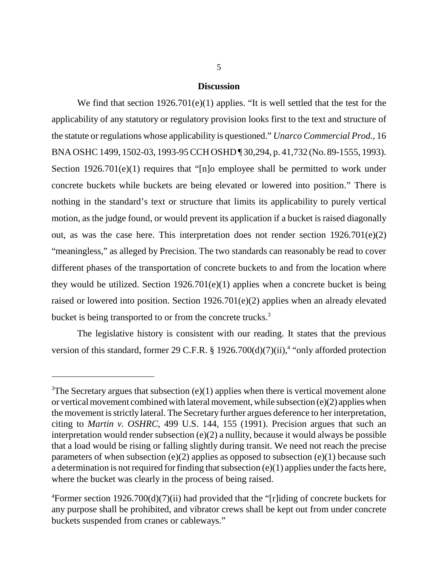# **Discussion**

We find that section 1926.701(e)(1) applies. "It is well settled that the test for the applicability of any statutory or regulatory provision looks first to the text and structure of the statute or regulations whose applicability is questioned." *Unarco Commercial Prod.*, 16 BNA OSHC 1499, 1502-03, 1993-95 CCH OSHD ¶ 30,294, p. 41,732 (No. 89-1555, 1993). Section 1926.701(e)(1) requires that "[n]o employee shall be permitted to work under concrete buckets while buckets are being elevated or lowered into position." There is nothing in the standard's text or structure that limits its applicability to purely vertical motion, as the judge found, or would prevent its application if a bucket is raised diagonally out, as was the case here. This interpretation does not render section 1926.701(e)(2) "meaningless," as alleged by Precision. The two standards can reasonably be read to cover different phases of the transportation of concrete buckets to and from the location where they would be utilized. Section  $1926.701(e)(1)$  applies when a concrete bucket is being raised or lowered into position. Section 1926.701(e)(2) applies when an already elevated bucket is being transported to or from the concrete trucks.<sup>3</sup>

The legislative history is consistent with our reading. It states that the previous version of this standard, former 29 C.F.R. § 1926.700(d)(7)(ii),<sup>4</sup> "only afforded protection

<sup>&</sup>lt;sup>3</sup>The Secretary argues that subsection (e)(1) applies when there is vertical movement alone or vertical movement combined with lateral movement, while subsection (e)(2) applies when the movement is strictly lateral. The Secretary further argues deference to her interpretation, citing to *Martin v. OSHRC*, 499 U.S. 144, 155 (1991). Precision argues that such an interpretation would render subsection (e)(2) a nullity, because it would always be possible that a load would be rising or falling slightly during transit. We need not reach the precise parameters of when subsection (e)(2) applies as opposed to subsection (e)(1) because such a determination is not required for finding that subsection (e)(1) applies under the facts here, where the bucket was clearly in the process of being raised.

<sup>4</sup> Former section 1926.700(d)(7)(ii) had provided that the "[r]iding of concrete buckets for any purpose shall be prohibited, and vibrator crews shall be kept out from under concrete buckets suspended from cranes or cableways."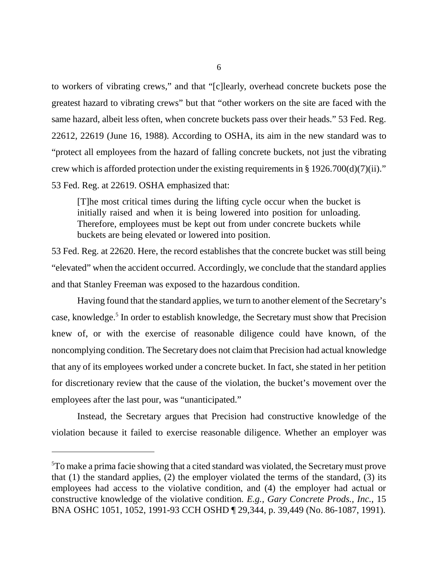to workers of vibrating crews," and that "[c]learly, overhead concrete buckets pose the greatest hazard to vibrating crews" but that "other workers on the site are faced with the same hazard, albeit less often, when concrete buckets pass over their heads." 53 Fed. Reg. 22612, 22619 (June 16, 1988). According to OSHA, its aim in the new standard was to "protect all employees from the hazard of falling concrete buckets, not just the vibrating crew which is afforded protection under the existing requirements in § 1926.700(d)(7)(ii)." 53 Fed. Reg. at 22619. OSHA emphasized that:

[T]he most critical times during the lifting cycle occur when the bucket is initially raised and when it is being lowered into position for unloading. Therefore, employees must be kept out from under concrete buckets while buckets are being elevated or lowered into position.

53 Fed. Reg. at 22620. Here, the record establishes that the concrete bucket was still being "elevated" when the accident occurred. Accordingly, we conclude that the standard applies and that Stanley Freeman was exposed to the hazardous condition.

Having found that the standard applies, we turn to another element of the Secretary's case, knowledge.<sup>5</sup> In order to establish knowledge, the Secretary must show that Precision knew of, or with the exercise of reasonable diligence could have known, of the noncomplying condition. The Secretary does not claim that Precision had actual knowledge that any of its employees worked under a concrete bucket. In fact, she stated in her petition for discretionary review that the cause of the violation, the bucket's movement over the employees after the last pour, was "unanticipated."

Instead, the Secretary argues that Precision had constructive knowledge of the violation because it failed to exercise reasonable diligence. Whether an employer was

<sup>&</sup>lt;sup>5</sup>To make a prima facie showing that a cited standard was violated, the Secretary must prove that (1) the standard applies, (2) the employer violated the terms of the standard, (3) its employees had access to the violative condition, and (4) the employer had actual or constructive knowledge of the violative condition. *E.g., Gary Concrete Prods., Inc.*, 15 BNA OSHC 1051, 1052, 1991-93 CCH OSHD ¶ 29,344, p. 39,449 (No. 86-1087, 1991).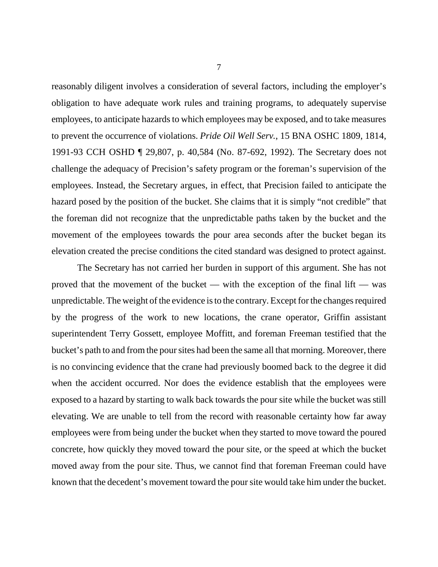reasonably diligent involves a consideration of several factors, including the employer's obligation to have adequate work rules and training programs, to adequately supervise employees, to anticipate hazards to which employees may be exposed, and to take measures to prevent the occurrence of violations. *Pride Oil Well Serv.*, 15 BNA OSHC 1809, 1814, 1991-93 CCH OSHD ¶ 29,807, p. 40,584 (No. 87-692, 1992). The Secretary does not challenge the adequacy of Precision's safety program or the foreman's supervision of the employees. Instead, the Secretary argues, in effect, that Precision failed to anticipate the hazard posed by the position of the bucket. She claims that it is simply "not credible" that the foreman did not recognize that the unpredictable paths taken by the bucket and the movement of the employees towards the pour area seconds after the bucket began its elevation created the precise conditions the cited standard was designed to protect against.

The Secretary has not carried her burden in support of this argument. She has not proved that the movement of the bucket — with the exception of the final lift — was unpredictable. The weight of the evidence is to the contrary. Except for the changes required by the progress of the work to new locations, the crane operator, Griffin assistant superintendent Terry Gossett, employee Moffitt, and foreman Freeman testified that the bucket's path to and from the pour sites had been the same all that morning. Moreover, there is no convincing evidence that the crane had previously boomed back to the degree it did when the accident occurred. Nor does the evidence establish that the employees were exposed to a hazard by starting to walk back towards the pour site while the bucket was still elevating. We are unable to tell from the record with reasonable certainty how far away employees were from being under the bucket when they started to move toward the poured concrete, how quickly they moved toward the pour site, or the speed at which the bucket moved away from the pour site. Thus, we cannot find that foreman Freeman could have known that the decedent's movement toward the pour site would take him under the bucket.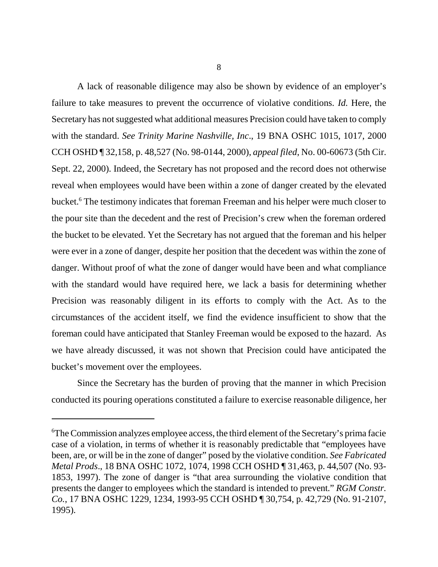8

A lack of reasonable diligence may also be shown by evidence of an employer's failure to take measures to prevent the occurrence of violative conditions. *Id.* Here, the Secretary has not suggested what additional measures Precision could have taken to comply with the standard. *See Trinity Marine Nashville, Inc*., 19 BNA OSHC 1015, 1017, 2000 CCH OSHD ¶ 32,158, p. 48,527 (No. 98-0144, 2000), *appeal filed*, No. 00-60673 (5th Cir. Sept. 22, 2000). Indeed, the Secretary has not proposed and the record does not otherwise reveal when employees would have been within a zone of danger created by the elevated bucket.<sup>6</sup> The testimony indicates that foreman Freeman and his helper were much closer to the pour site than the decedent and the rest of Precision's crew when the foreman ordered the bucket to be elevated. Yet the Secretary has not argued that the foreman and his helper were ever in a zone of danger, despite her position that the decedent was within the zone of danger. Without proof of what the zone of danger would have been and what compliance with the standard would have required here, we lack a basis for determining whether Precision was reasonably diligent in its efforts to comply with the Act. As to the circumstances of the accident itself, we find the evidence insufficient to show that the foreman could have anticipated that Stanley Freeman would be exposed to the hazard. As we have already discussed, it was not shown that Precision could have anticipated the bucket's movement over the employees.

Since the Secretary has the burden of proving that the manner in which Precision conducted its pouring operations constituted a failure to exercise reasonable diligence, her

<sup>6</sup> The Commission analyzes employee access, the third element of the Secretary's prima facie case of a violation, in terms of whether it is reasonably predictable that "employees have been, are, or will be in the zone of danger" posed by the violative condition. *See Fabricated Metal Prods*., 18 BNA OSHC 1072, 1074, 1998 CCH OSHD ¶ 31,463, p. 44,507 (No. 93- 1853, 1997). The zone of danger is "that area surrounding the violative condition that presents the danger to employees which the standard is intended to prevent." *RGM Constr. Co.*, 17 BNA OSHC 1229, 1234, 1993-95 CCH OSHD ¶ 30,754, p. 42,729 (No. 91-2107, 1995).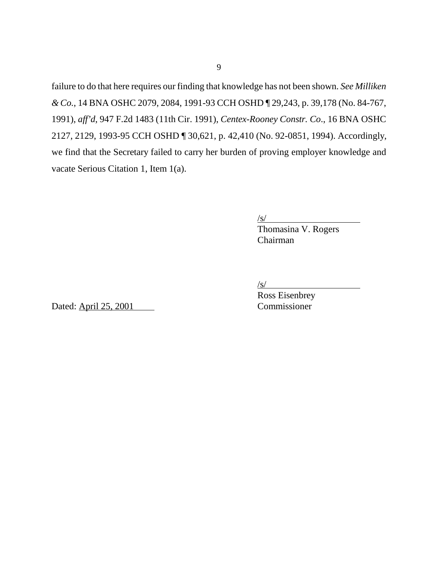failure to do that here requires our finding that knowledge has not been shown. *See Milliken & Co.*, 14 BNA OSHC 2079, 2084, 1991-93 CCH OSHD ¶ 29,243, p. 39,178 (No. 84-767, 1991), *aff'd*, 947 F.2d 1483 (11th Cir. 1991), *Centex-Rooney Constr. Co*., 16 BNA OSHC 2127, 2129, 1993-95 CCH OSHD ¶ 30,621, p. 42,410 (No. 92-0851, 1994). Accordingly, we find that the Secretary failed to carry her burden of proving employer knowledge and vacate Serious Citation 1, Item 1(a).

 $\sqrt{s}$ /

Thomasina V. Rogers Chairman

/s/

Dated: April 25, 2001 Commissioner

Ross Eisenbrey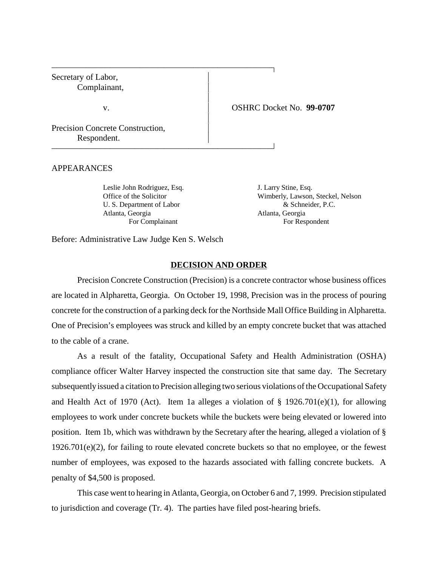Secretary of Labor, Complainant,

v. OSHRC Docket No. **99-0707**

Precision Concrete Construction, Respondent.

## APPEARANCES

Leslie John Rodriguez, Esq. J. Larry Stine, Esq. Atlanta, Georgia Atlanta, Georgia

 

 

Office of the Solicitor Wimberly, Lawson, Steckel, Nelson U. S. Department of Labor  $\&$  Schneider, P.C. For Complainant For Respondent

Before: Administrative Law Judge Ken S. Welsch

#### **DECISION AND ORDER**

 $\overline{1}$ 

 $\overline{1}$ 

Precision Concrete Construction (Precision) is a concrete contractor whose business offices are located in Alpharetta, Georgia. On October 19, 1998, Precision was in the process of pouring concrete for the construction of a parking deck for the Northside Mall Office Building in Alpharetta. One of Precision's employees was struck and killed by an empty concrete bucket that was attached to the cable of a crane.

As a result of the fatality, Occupational Safety and Health Administration (OSHA) compliance officer Walter Harvey inspected the construction site that same day. The Secretary subsequently issued a citation to Precision alleging two serious violations of the Occupational Safety and Health Act of 1970 (Act). Item 1a alleges a violation of  $\S$  1926.701(e)(1), for allowing employees to work under concrete buckets while the buckets were being elevated or lowered into position. Item 1b, which was withdrawn by the Secretary after the hearing, alleged a violation of § 1926.701(e)(2), for failing to route elevated concrete buckets so that no employee, or the fewest number of employees, was exposed to the hazards associated with falling concrete buckets. A penalty of \$4,500 is proposed.

This case went to hearing in Atlanta, Georgia, on October 6 and 7, 1999. Precision stipulated to jurisdiction and coverage (Tr. 4). The parties have filed post-hearing briefs.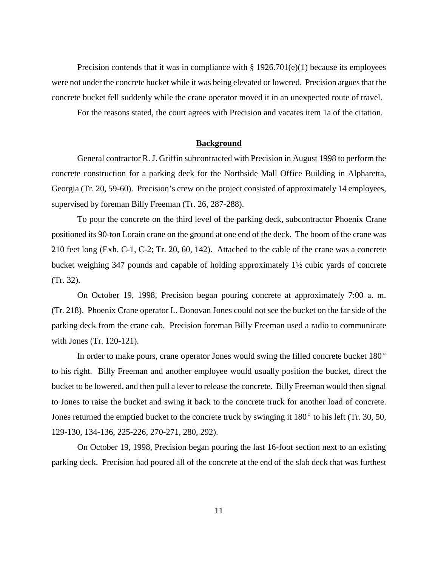Precision contends that it was in compliance with  $\S 1926.701(e)(1)$  because its employees were not under the concrete bucket while it was being elevated or lowered. Precision argues that the concrete bucket fell suddenly while the crane operator moved it in an unexpected route of travel.

For the reasons stated, the court agrees with Precision and vacates item 1a of the citation.

#### **Background**

General contractor R. J. Griffin subcontracted with Precision in August 1998 to perform the concrete construction for a parking deck for the Northside Mall Office Building in Alpharetta, Georgia (Tr. 20, 59-60). Precision's crew on the project consisted of approximately 14 employees, supervised by foreman Billy Freeman (Tr. 26, 287-288).

To pour the concrete on the third level of the parking deck, subcontractor Phoenix Crane positioned its 90-ton Lorain crane on the ground at one end of the deck. The boom of the crane was 210 feet long (Exh. C-1, C-2; Tr. 20, 60, 142). Attached to the cable of the crane was a concrete bucket weighing 347 pounds and capable of holding approximately 1½ cubic yards of concrete (Tr. 32).

On October 19, 1998, Precision began pouring concrete at approximately 7:00 a. m. (Tr. 218). Phoenix Crane operator L. Donovan Jones could not see the bucket on the far side of the parking deck from the crane cab. Precision foreman Billy Freeman used a radio to communicate with Jones (Tr. 120-121).

In order to make pours, crane operator Jones would swing the filled concrete bucket  $180^{\circ}$ to his right. Billy Freeman and another employee would usually position the bucket, direct the bucket to be lowered, and then pull a lever to release the concrete. Billy Freeman would then signal to Jones to raise the bucket and swing it back to the concrete truck for another load of concrete. Jones returned the emptied bucket to the concrete truck by swinging it  $180^{\circ}$  to his left (Tr. 30, 50, 129-130, 134-136, 225-226, 270-271, 280, 292).

On October 19, 1998, Precision began pouring the last 16-foot section next to an existing parking deck. Precision had poured all of the concrete at the end of the slab deck that was furthest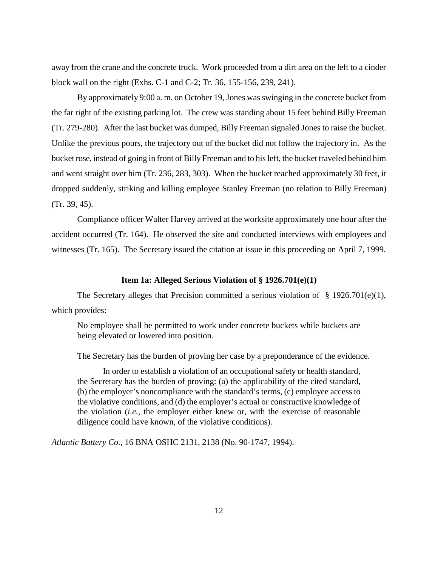away from the crane and the concrete truck. Work proceeded from a dirt area on the left to a cinder block wall on the right (Exhs. C-1 and C-2; Tr. 36, 155-156, 239, 241).

By approximately 9:00 a. m. on October 19, Jones was swinging in the concrete bucket from the far right of the existing parking lot. The crew was standing about 15 feet behind Billy Freeman (Tr. 279-280). After the last bucket was dumped, Billy Freeman signaled Jones to raise the bucket. Unlike the previous pours, the trajectory out of the bucket did not follow the trajectory in. As the bucket rose, instead of going in front of Billy Freeman and to his left, the bucket traveled behind him and went straight over him (Tr. 236, 283, 303). When the bucket reached approximately 30 feet, it dropped suddenly, striking and killing employee Stanley Freeman (no relation to Billy Freeman) (Tr. 39, 45).

Compliance officer Walter Harvey arrived at the worksite approximately one hour after the accident occurred (Tr. 164). He observed the site and conducted interviews with employees and witnesses (Tr. 165). The Secretary issued the citation at issue in this proceeding on April 7, 1999.

#### **Item 1a: Alleged Serious Violation of § 1926.701(e)(1)**

The Secretary alleges that Precision committed a serious violation of  $\S$  1926.701(e)(1), which provides:

No employee shall be permitted to work under concrete buckets while buckets are being elevated or lowered into position.

The Secretary has the burden of proving her case by a preponderance of the evidence.

In order to establish a violation of an occupational safety or health standard, the Secretary has the burden of proving: (a) the applicability of the cited standard, (b) the employer's noncompliance with the standard's terms, (c) employee access to the violative conditions, and (d) the employer's actual or constructive knowledge of the violation (*i.e.,* the employer either knew or, with the exercise of reasonable diligence could have known, of the violative conditions).

*Atlantic Battery Co.,* 16 BNA OSHC 2131, 2138 (No. 90-1747, 1994).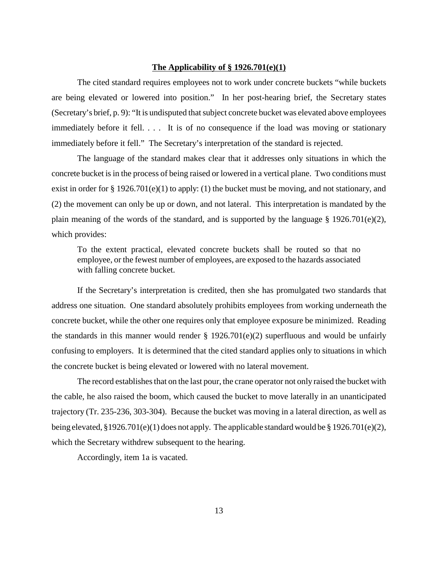#### **The Applicability of § 1926.701(e)(1)**

The cited standard requires employees not to work under concrete buckets "while buckets are being elevated or lowered into position." In her post-hearing brief, the Secretary states (Secretary's brief, p. 9): "It is undisputed that subject concrete bucket was elevated above employees immediately before it fell. . . . It is of no consequence if the load was moving or stationary immediately before it fell." The Secretary's interpretation of the standard is rejected.

The language of the standard makes clear that it addresses only situations in which the concrete bucket is in the process of being raised or lowered in a vertical plane. Two conditions must exist in order for § 1926.701(e)(1) to apply: (1) the bucket must be moving, and not stationary, and (2) the movement can only be up or down, and not lateral. This interpretation is mandated by the plain meaning of the words of the standard, and is supported by the language  $\S$  1926.701(e)(2), which provides:

To the extent practical, elevated concrete buckets shall be routed so that no employee, or the fewest number of employees, are exposed to the hazards associated with falling concrete bucket.

If the Secretary's interpretation is credited, then she has promulgated two standards that address one situation. One standard absolutely prohibits employees from working underneath the concrete bucket, while the other one requires only that employee exposure be minimized. Reading the standards in this manner would render  $\S$  1926.701(e)(2) superfluous and would be unfairly confusing to employers. It is determined that the cited standard applies only to situations in which the concrete bucket is being elevated or lowered with no lateral movement.

The record establishes that on the last pour, the crane operator not only raised the bucket with the cable, he also raised the boom, which caused the bucket to move laterally in an unanticipated trajectory (Tr. 235-236, 303-304). Because the bucket was moving in a lateral direction, as well as being elevated, §1926.701(e)(1) does not apply. The applicable standard would be § 1926.701(e)(2), which the Secretary withdrew subsequent to the hearing.

Accordingly, item 1a is vacated.